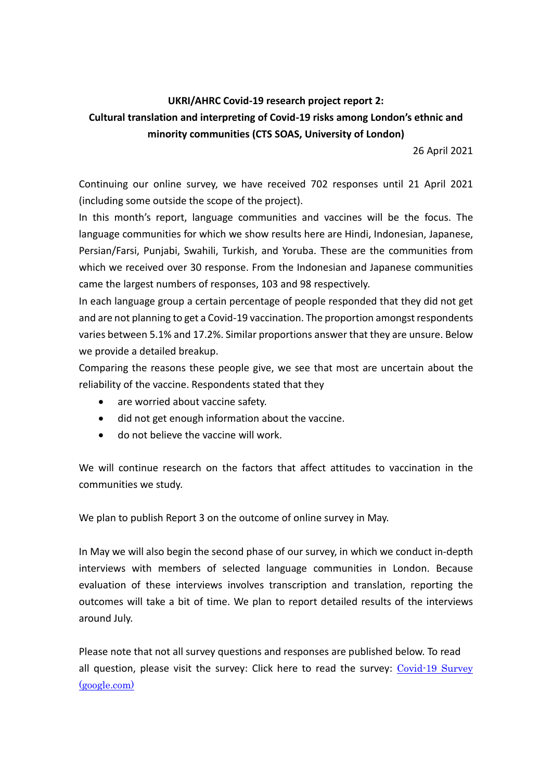# **UKRI/AHRC Covid-19 research project report 2: Cultural translation and interpreting of Covid-19 risks among London's ethnic and minority communities (CTS SOAS, University of London)**

26 April 2021

Continuing our online survey, we have received 702 responses until 21 April 2021 (including some outside the scope of the project).

In this month's report, language communities and vaccines will be the focus. The language communities for which we show results here are Hindi, Indonesian, Japanese, Persian/Farsi, Punjabi, Swahili, Turkish, and Yoruba. These are the communities from which we received over 30 response. From the Indonesian and Japanese communities came the largest numbers of responses, 103 and 98 respectively.

In each language group a certain percentage of people responded that they did not get and are not planning to get a Covid-19 vaccination. The proportion amongst respondents varies between 5.1% and 17.2%. Similar proportions answer that they are unsure. Below we provide a detailed breakup.

Comparing the reasons these people give, we see that most are uncertain about the reliability of the vaccine. Respondents stated that they

- are worried about vaccine safety.
- did not get enough information about the vaccine.
- do not believe the vaccine will work.

We will continue research on the factors that affect attitudes to vaccination in the communities we study.

We plan to publish Report 3 on the outcome of online survey in May.

In May we will also begin the second phase of our survey, in which we conduct in-depth interviews with members of selected language communities in London. Because evaluation of these interviews involves transcription and translation, reporting the outcomes will take a bit of time. We plan to report detailed results of the interviews around July.

Please note that not all survey questions and responses are published below. To read all question, please visit the survey: Click here to read the survey: [Covid-19 Survey](https://docs.google.com/forms/d/e/1FAIpQLSfAyndNVVMHtr7taiV4iISFxmJx9jQpjHdnuXoa5IIvgXRemQ/viewform)  [\(google.com\)](https://docs.google.com/forms/d/e/1FAIpQLSfAyndNVVMHtr7taiV4iISFxmJx9jQpjHdnuXoa5IIvgXRemQ/viewform)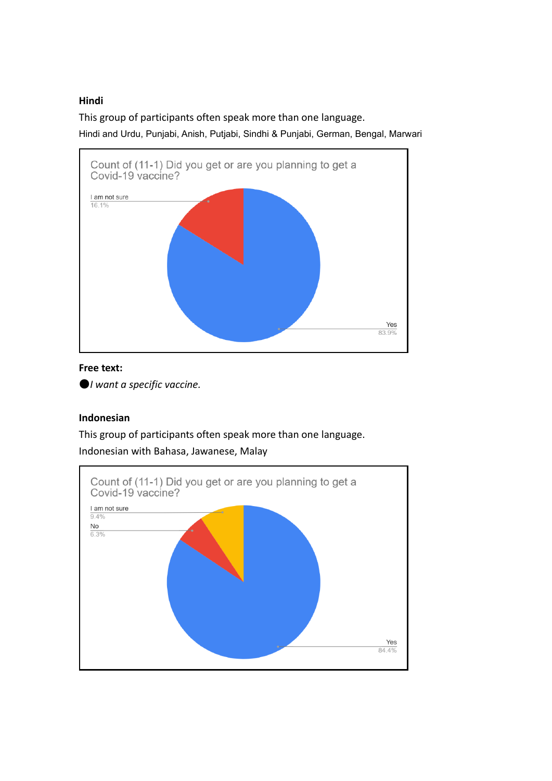### **Hindi**

This group of participants often speak more than one language.

Hindi and Urdu, Punjabi, Anish, Putjabi, Sindhi & Punjabi, German, Bengal, Marwari



# **Free text:**

●*I want a specific vaccine.*

# **Indonesian**

This group of participants often speak more than one language. Indonesian with Bahasa, Jawanese, Malay

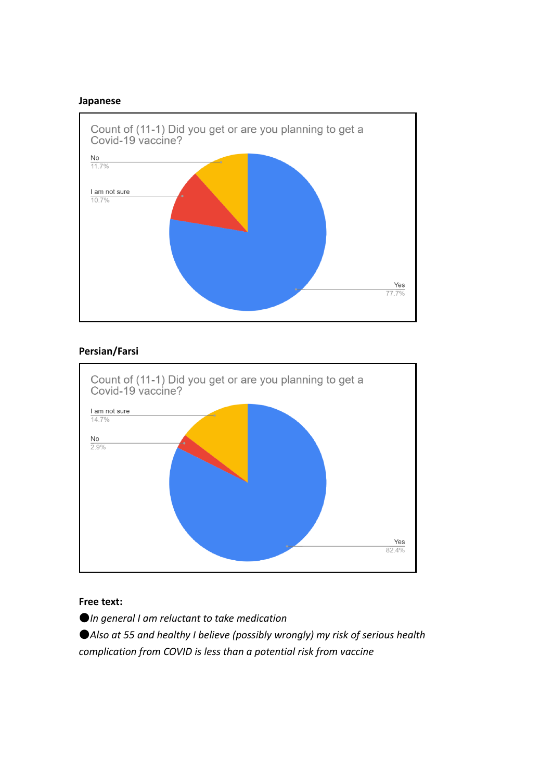#### **Japanese**



### **Persian/Farsi**



#### **Free text:**

●*In general I am reluctant to take medication*

●*Also at 55 and healthy I believe (possibly wrongly) my risk of serious health complication from COVID is less than a potential risk from vaccine*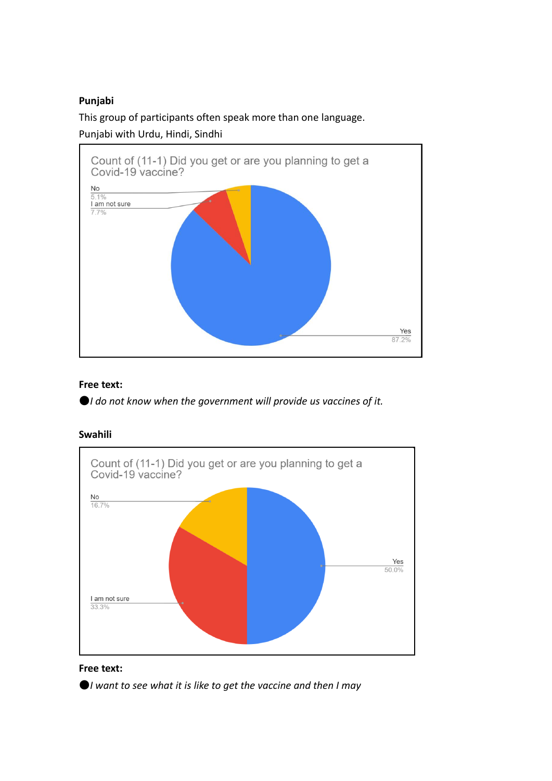## **Punjabi**

This group of participants often speak more than one language.

Punjabi with Urdu, Hindi, Sindhi



### **Free text:**

●*I do not know when the government will provide us vaccines of it.*

### **Swahili**





●*I want to see what it is like to get the vaccine and then I may*